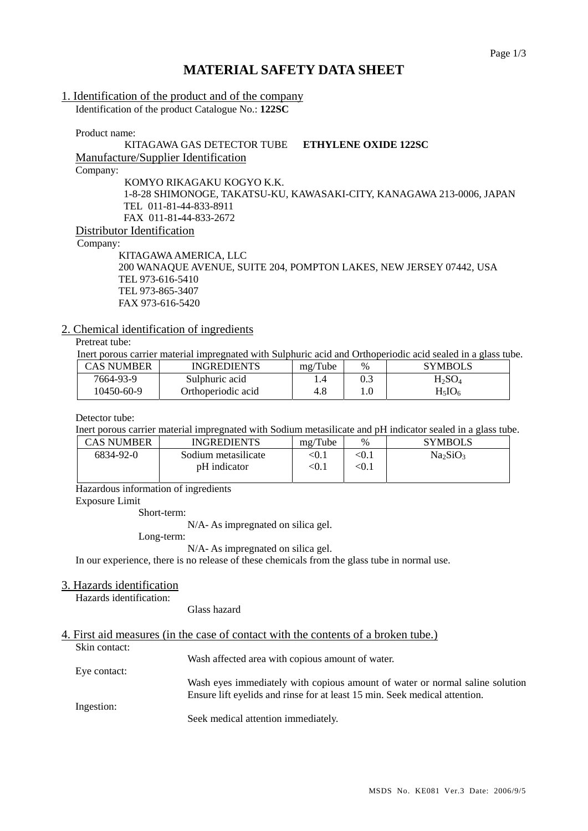# **MATERIAL SAFETY DATA SHEET**

## 1. Identification of the product and of the company

Identification of the product Catalogue No.: **122SC**

Product name:

### KITAGAWA GAS DETECTOR TUBE **ETHYLENE OXIDE 122SC** Manufacture/Supplier Identification Company:

KOMYO RIKAGAKU KOGYO K.K. 1-8-28 SHIMONOGE, TAKATSU-KU, KAWASAKI-CITY, KANAGAWA 213-0006, JAPAN TEL 011-81-44-833-8911 FAX 011-81-44-833-2672 Distributor Identification

Company:

 KITAGAWA AMERICA, LLC 200 WANAQUE AVENUE, SUITE 204, POMPTON LAKES, NEW JERSEY 07442, USA TEL 973-616-5410 TEL 973-865-3407 FAX 973-616-5420

### 2. Chemical identification of ingredients

## Pretreat tube:

Inert porous carrier material impregnated with Sulphuric acid and Orthoperiodic acid sealed in a glass tube.

| CAS NUMBER | <b>INGREDIENTS</b> | mg/Tube | $\%$ | <b>SYMBOLS</b> |
|------------|--------------------|---------|------|----------------|
| 7664-93-9  | Sulphuric acid     | .4      | 0.3  | $H_2SO_4$      |
| 10450-60-9 | Orthoperiodic acid | 4.8     |      | $H_5IO_6$      |

Detector tube:

Inert porous carrier material impregnated with Sodium metasilicate and pH indicator sealed in a glass tube.

| CAS NUMBER | <b>INGREDIENTS</b>                  | mg/Tube        | $\%$           | <b>SYMBOLS</b>                   |
|------------|-------------------------------------|----------------|----------------|----------------------------------|
| 6834-92-0  | Sodium metasilicate<br>pH indicator | < 0.1<br>< 0.1 | < 0.1<br>< 0.1 | Na <sub>2</sub> SiO <sub>3</sub> |

Hazardous information of ingredients

Exposure Limit

Short-term:

N/A- As impregnated on silica gel.

Long-term:

N/A- As impregnated on silica gel.

In our experience, there is no release of these chemicals from the glass tube in normal use.

#### 3. Hazards identification

Hazards identification:

Glass hazard

#### 4. First aid measures (in the case of contact with the contents of a broken tube.) Skin contact:

Wash affected area with copious amount of water.

Eye contact: Wash eyes immediately with copious amount of water or normal saline solution Ensure lift eyelids and rinse for at least 15 min. Seek medical attention. Ingestion:

Seek medical attention immediately.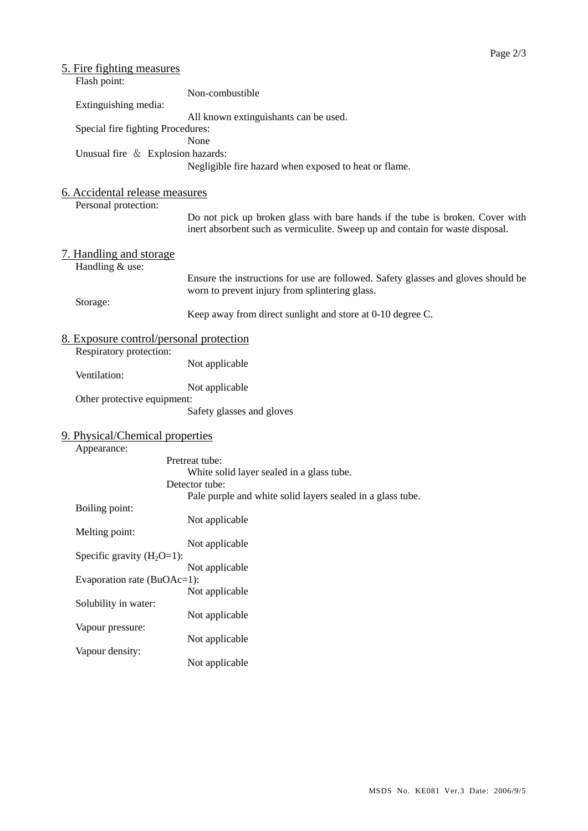| <u>5. Fire fighting measures</u>                       |                                                                                   |
|--------------------------------------------------------|-----------------------------------------------------------------------------------|
| Flash point:                                           |                                                                                   |
|                                                        | Non-combustible                                                                   |
| Extinguishing media:                                   |                                                                                   |
|                                                        | All known extinguishants can be used.                                             |
| Special fire fighting Procedures:                      |                                                                                   |
|                                                        | None                                                                              |
| Unusual fire & Explosion hazards:                      |                                                                                   |
|                                                        | Negligible fire hazard when exposed to heat or flame.                             |
|                                                        |                                                                                   |
| 6. Accidental release measures<br>Personal protection: |                                                                                   |
|                                                        | Do not pick up broken glass with bare hands if the tube is broken. Cover with     |
|                                                        | inert absorbent such as vermiculite. Sweep up and contain for waste disposal.     |
|                                                        |                                                                                   |
| <u>7. Handling and storage</u>                         |                                                                                   |
| Handling & use:                                        |                                                                                   |
|                                                        | Ensure the instructions for use are followed. Safety glasses and gloves should be |
|                                                        | worn to prevent injury from splintering glass.                                    |
| Storage:                                               |                                                                                   |
|                                                        | Keep away from direct sunlight and store at 0-10 degree C.                        |
| 8. Exposure control/personal protection                |                                                                                   |
| Respiratory protection:                                |                                                                                   |
|                                                        | Not applicable                                                                    |
| Ventilation:                                           |                                                                                   |
|                                                        | Not applicable                                                                    |
| Other protective equipment:                            |                                                                                   |
|                                                        | Safety glasses and gloves                                                         |
|                                                        |                                                                                   |
| 9. Physical/Chemical properties                        |                                                                                   |
| Appearance:                                            |                                                                                   |
|                                                        | Pretreat tube:<br>White solid layer sealed in a glass tube.                       |
|                                                        | Detector tube:                                                                    |
|                                                        | Pale purple and white solid layers sealed in a glass tube.                        |
| Boiling point:                                         |                                                                                   |
|                                                        | Not applicable                                                                    |
| Melting point:                                         |                                                                                   |
|                                                        | Not applicable                                                                    |
| Specific gravity $(H_2O=1)$ :                          |                                                                                   |
|                                                        | Not applicable                                                                    |
| Evaporation rate (BuOAc=1):                            | Not applicable                                                                    |
| Solubility in water:                                   |                                                                                   |
|                                                        | Not applicable                                                                    |
| Vapour pressure:                                       |                                                                                   |
|                                                        | Not applicable                                                                    |
| Vapour density:                                        |                                                                                   |
|                                                        | Not applicable                                                                    |